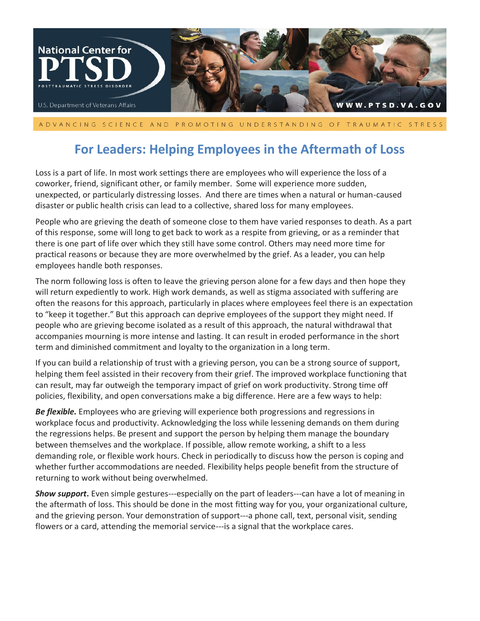

A DVANCING SCIENCE AND PROMOTING UNDERSTANDING OF TRAUMATIC STRESS

## **For Leaders: Helping Employees in the Aftermath of Loss**

Loss is a part of life. In most work settings there are employees who will experience the loss of a coworker, friend, significant other, or family member. Some will experience more sudden, unexpected, or particularly distressing losses. And there are times when a natural or human-caused disaster or public health crisis can lead to a collective, shared loss for many employees.

People who are grieving the death of someone close to them have varied responses to death. As a part of this response, some will long to get back to work as a respite from grieving, or as a reminder that there is one part of life over which they still have some control. Others may need more time for practical reasons or because they are more overwhelmed by the grief. As a leader, you can help employees handle both responses.

The norm following loss is often to leave the grieving person alone for a few days and then hope they will return expediently to work. High work demands, as well as stigma associated with suffering are often the reasons for this approach, particularly in places where employees feel there is an expectation to "keep it together." But this approach can deprive employees of the support they might need. If people who are grieving become isolated as a result of this approach, the natural withdrawal that accompanies mourning is more intense and lasting. It can result in eroded performance in the short term and diminished commitment and loyalty to the organization in a long term.

If you can build a relationship of trust with a grieving person, you can be a strong source of support, helping them feel assisted in their recovery from their grief. The improved workplace functioning that can result, may far outweigh the temporary impact of grief on work productivity. Strong time off policies, flexibility, and open conversations make a big difference. Here are a few ways to help:

*Be flexible.* Employees who are grieving will experience both progressions and regressions in workplace focus and productivity. Acknowledging the loss while lessening demands on them during the regressions helps. Be present and support the person by helping them manage the boundary between themselves and the workplace. If possible, allow remote working, a shift to a less demanding role, or flexible work hours. Check in periodically to discuss how the person is coping and whether further accommodations are needed. Flexibility helps people benefit from the structure of returning to work without being overwhelmed.

*Show support***.** Even simple gestures---especially on the part of leaders---can have a lot of meaning in the aftermath of loss. This should be done in the most fitting way for you, your organizational culture, and the grieving person. Your demonstration of support---a phone call, text, personal visit, sending flowers or a card, attending the memorial service---is a signal that the workplace cares.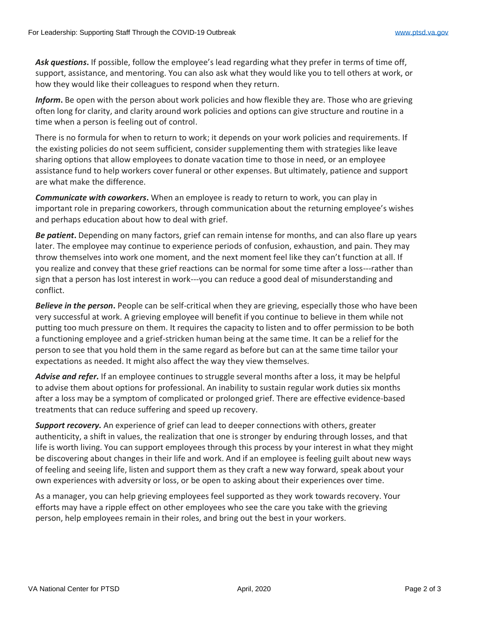*Ask questions***.** If possible, follow the employee's lead regarding what they prefer in terms of time off, support, assistance, and mentoring. You can also ask what they would like you to tell others at work, or how they would like their colleagues to respond when they return.

*Inform***.** Be open with the person about work policies and how flexible they are. Those who are grieving often long for clarity, and clarity around work policies and options can give structure and routine in a time when a person is feeling out of control.

There is no formula for when to return to work; it depends on your work policies and requirements. If the existing policies do not seem sufficient, consider supplementing them with strategies like leave sharing options that allow employees to donate vacation time to those in need, or an employee assistance fund to help workers cover funeral or other expenses. But ultimately, patience and support are what make the difference.

*Communicate with coworkers***.** When an employee is ready to return to work, you can play in important role in preparing coworkers, through communication about the returning employee's wishes and perhaps education about how to deal with grief.

*Be patient***.** Depending on many factors, grief can remain intense for months, and can also flare up years later. The employee may continue to experience periods of confusion, exhaustion, and pain. They may throw themselves into work one moment, and the next moment feel like they can't function at all. If you realize and convey that these grief reactions can be normal for some time after a loss---rather than sign that a person has lost interest in work---you can reduce a good deal of misunderstanding and conflict.

*Believe in the person***.** People can be self-critical when they are grieving, especially those who have been very successful at work. A grieving employee will benefit if you continue to believe in them while not putting too much pressure on them. It requires the capacity to listen and to offer permission to be both a functioning employee and a grief-stricken human being at the same time. It can be a relief for the person to see that you hold them in the same regard as before but can at the same time tailor your expectations as needed. It might also affect the way they view themselves.

*Advise and refer.* If an employee continues to struggle several months after a loss, it may be helpful to advise them about options for professional. An inability to sustain regular work duties six months after a loss may be a symptom of complicated or prolonged grief. There are effective evidence-based treatments that can reduce suffering and speed up recovery.

*Support recovery.* An experience of grief can lead to deeper connections with others, greater authenticity, a shift in values, the realization that one is stronger by enduring through losses, and that life is worth living. You can support employees through this process by your interest in what they might be discovering about changes in their life and work. And if an employee is feeling guilt about new ways of feeling and seeing life, listen and support them as they craft a new way forward, speak about your own experiences with adversity or loss, or be open to asking about their experiences over time.

As a manager, you can help grieving employees feel supported as they work towards recovery. Your efforts may have a ripple effect on other employees who see the care you take with the grieving person, help employees remain in their roles, and bring out the best in your workers.